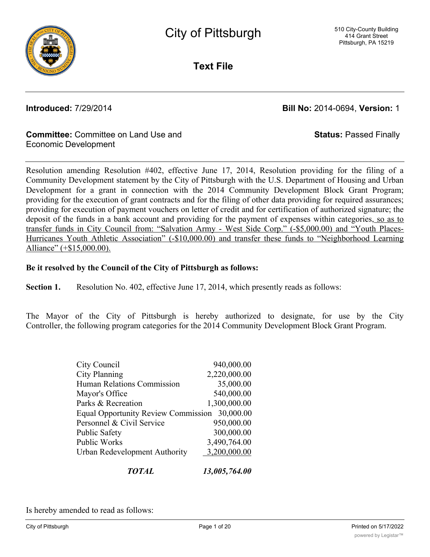

**Text File**

**Introduced:** 7/29/2014 **Bill No:** 2014-0694, **Version:** 1

#### **Committee:** Committee on Land Use and Economic Development

**Status:** Passed Finally

Resolution amending Resolution #402, effective June 17, 2014, Resolution providing for the filing of a Community Development statement by the City of Pittsburgh with the U.S. Department of Housing and Urban Development for a grant in connection with the 2014 Community Development Block Grant Program; providing for the execution of grant contracts and for the filing of other data providing for required assurances; providing for execution of payment vouchers on letter of credit and for certification of authorized signature; the deposit of the funds in a bank account and providing for the payment of expenses within categories, so as to transfer funds in City Council from: "Salvation Army - West Side Corp." (-\$5,000.00) and "Youth Places-Hurricanes Youth Athletic Association" (-\$10,000.00) and transfer these funds to "Neighborhood Learning Alliance" (+\$15,000.00).

#### **Be it resolved by the Council of the City of Pittsburgh as follows:**

**Section 1.** Resolution No. 402, effective June 17, 2014, which presently reads as follows:

The Mayor of the City of Pittsburgh is hereby authorized to designate, for use by the City Controller, the following program categories for the 2014 Community Development Block Grant Program.

| TOTAL                                         | 13,005,764.00 |
|-----------------------------------------------|---------------|
| Urban Redevelopment Authority                 | 3,200,000.00  |
| <b>Public Works</b>                           | 3,490,764.00  |
| <b>Public Safety</b>                          | 300,000.00    |
| Personnel & Civil Service                     | 950,000.00    |
| Equal Opportunity Review Commission 30,000.00 |               |
| Parks & Recreation                            | 1,300,000.00  |
| Mayor's Office                                | 540,000.00    |
| Human Relations Commission                    | 35,000.00     |
| <b>City Planning</b>                          | 2,220,000.00  |
| City Council                                  | 940,000.00    |
|                                               |               |

Is hereby amended to read as follows: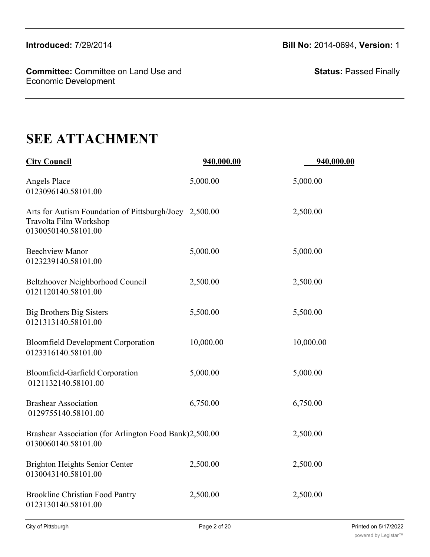**Committee:** Committee on Land Use and Economic Development

**Status:** Passed Finally

# **SEE ATTACHMENT**

| <b>City Council</b>                                                                                     | 940,000.00 | 940,000.00 |
|---------------------------------------------------------------------------------------------------------|------------|------------|
| <b>Angels Place</b><br>0123096140.58101.00                                                              | 5,000.00   | 5,000.00   |
| Arts for Autism Foundation of Pittsburgh/Joey 2,500.00<br>Travolta Film Workshop<br>0130050140.58101.00 |            | 2,500.00   |
| <b>Beechview Manor</b><br>0123239140.58101.00                                                           | 5,000.00   | 5,000.00   |
| Beltzhoover Neighborhood Council<br>0121120140.58101.00                                                 | 2,500.00   | 2,500.00   |
| <b>Big Brothers Big Sisters</b><br>0121313140.58101.00                                                  | 5,500.00   | 5,500.00   |
| <b>Bloomfield Development Corporation</b><br>0123316140.58101.00                                        | 10,000.00  | 10,000.00  |
| Bloomfield-Garfield Corporation<br>0121132140.58101.00                                                  | 5,000.00   | 5,000.00   |
| <b>Brashear Association</b><br>0129755140.58101.00                                                      | 6,750.00   | 6,750.00   |
| Brashear Association (for Arlington Food Bank)2,500.00<br>0130060140.58101.00                           |            | 2,500.00   |
| <b>Brighton Heights Senior Center</b><br>0130043140.58101.00                                            | 2,500.00   | 2,500.00   |
| <b>Brookline Christian Food Pantry</b><br>0123130140.58101.00                                           | 2,500.00   | 2,500.00   |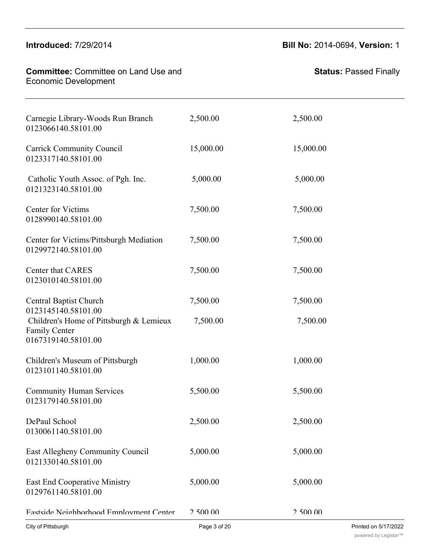#### **Committee: Committee on Land Use and** Economic Development Brookline Christian Food Pantry 2,500.00 2,500.00

Brashear Association (for Arlington Food Bank)2,500.00 2,500.00

# **Introduced:** 7/29/2014 **Bill No:** 2014-0694, **Version:** 1

| Printed on 5/17/2022 |
|----------------------|
| 2.500.00             |
| 5,000.00             |
| 5,000.00             |
| 2,500.00             |
| 5,500.00             |
| 1,000.00             |
| 7,500.00             |
| 7,500.00             |
| 7,500.00             |
| 7,500.00             |
| 7,500.00             |
| 5,000.00             |
| 15,000.00            |
| 2,500.00             |
|                      |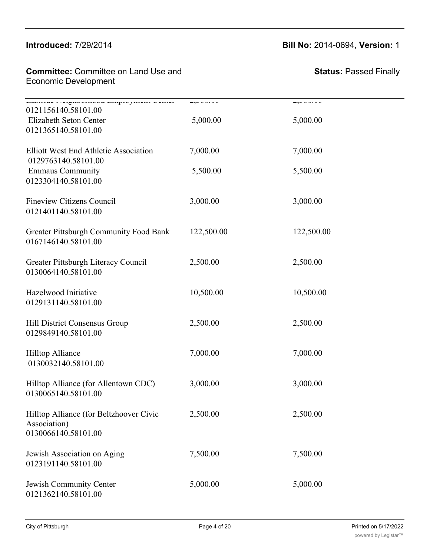#### $\frac{1}{2}$ East  $\frac{1}{2}$   $\frac{700}{00.44}$  $\mathbf{m}$ uduceu.  $\mathbf{m}$

#### **Introduced:** 7/29/2014 **Bill No:** 2014-0694, **Version:** 1

**Committee:** Committee on Land Use and **East End Committee:** Committee on Land Use and Economic Development

| Labour Preficornova Linguo juien Center<br>0121156140.58101.00 |            | 4,000.00   |
|----------------------------------------------------------------|------------|------------|
| Elizabeth Seton Center                                         | 5,000.00   | 5,000.00   |
| 0121365140.58101.00                                            |            |            |
| Elliott West End Athletic Association                          | 7,000.00   | 7,000.00   |
| 0129763140.58101.00                                            |            |            |
| <b>Emmaus Community</b>                                        | 5,500.00   | 5,500.00   |
| 0123304140.58101.00                                            |            |            |
| <b>Fineview Citizens Council</b>                               | 3,000.00   | 3,000.00   |
| 0121401140.58101.00                                            |            |            |
| <b>Greater Pittsburgh Community Food Bank</b>                  | 122,500.00 | 122,500.00 |
| 0167146140.58101.00                                            |            |            |
|                                                                | 2,500.00   |            |
| Greater Pittsburgh Literacy Council<br>0130064140.58101.00     |            | 2,500.00   |
|                                                                |            |            |
| Hazelwood Initiative<br>0129131140.58101.00                    | 10,500.00  | 10,500.00  |
|                                                                |            |            |
| Hill District Consensus Group                                  | 2,500.00   | 2,500.00   |
| 0129849140.58101.00                                            |            |            |
| Hilltop Alliance                                               | 7,000.00   | 7,000.00   |
| 0130032140.58101.00                                            |            |            |
| Hilltop Alliance (for Allentown CDC)                           | 3,000.00   | 3,000.00   |
| 0130065140.58101.00                                            |            |            |
|                                                                |            |            |
| Hilltop Alliance (for Beltzhoover Civic<br>Association)        | 2,500.00   | 2,500.00   |
| 0130066140.58101.00                                            |            |            |
| Jewish Association on Aging                                    | 7,500.00   | 7,500.00   |
| 0123191140.58101.00                                            |            |            |
|                                                                |            |            |
| Jewish Community Center                                        | 5,000.00   | 5,000.00   |
| 0121362140.58101.00                                            |            |            |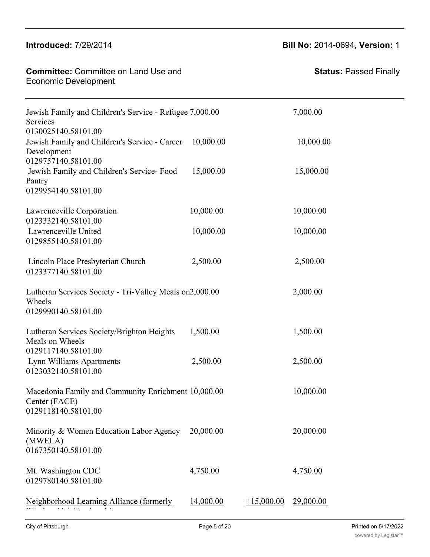| <b>Committee: Committee on Land Use and</b><br><b>Economic Development</b>                                 |           |              | <b>Status: Passed Finally</b> |
|------------------------------------------------------------------------------------------------------------|-----------|--------------|-------------------------------|
| Jewish Family and Children's Service - Refugee 7,000.00<br>Services                                        |           |              | 7,000.00                      |
| 0130025140.58101.00<br>Jewish Family and Children's Service - Career<br>Development<br>0129757140.58101.00 | 10,000.00 |              | 10,000.00                     |
| Jewish Family and Children's Service-Food<br>Pantry<br>0129954140.58101.00                                 | 15,000.00 |              | 15,000.00                     |
| Lawrenceville Corporation<br>0123332140.58101.00                                                           | 10,000.00 |              | 10,000.00                     |
| Lawrenceville United<br>0129855140.58101.00                                                                | 10,000.00 |              | 10,000.00                     |
| Lincoln Place Presbyterian Church<br>0123377140.58101.00                                                   | 2,500.00  |              | 2,500.00                      |
| Lutheran Services Society - Tri-Valley Meals on 2,000.00<br>Wheels<br>0129990140.58101.00                  |           |              | 2,000.00                      |
| Lutheran Services Society/Brighton Heights<br>Meals on Wheels<br>0129117140.58101.00                       | 1,500.00  |              | 1,500.00                      |
| Lynn Williams Apartments<br>0123032140.58101.00                                                            | 2,500.00  |              | 2,500.00                      |
| Macedonia Family and Community Enrichment 10,000.00<br>Center (FACE)<br>0129118140.58101.00                |           |              | 10,000.00                     |
| Minority & Women Education Labor Agency<br>(MWELA)<br>0167350140.58101.00                                  | 20,000.00 |              | 20,000.00                     |
| Mt. Washington CDC<br>0129780140.58101.00                                                                  | 4,750.00  |              | 4,750.00                      |
| Neighborhood Learning Alliance (formerly                                                                   | 14,000.00 | $+15,000.00$ | 29,000.00                     |

**Introduced:** 7/29/2014 **Bill No:** 2014-0694, **Version:** 1

0130066140.58101.00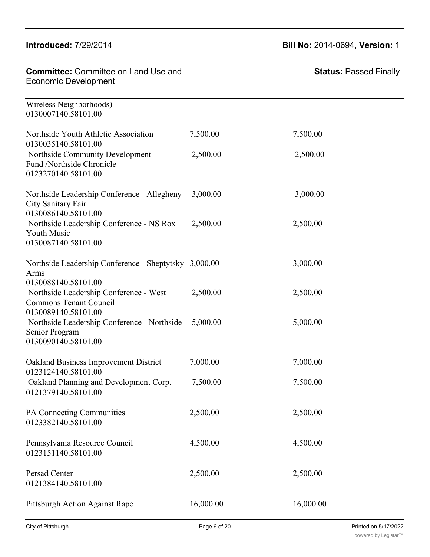Minority & Women Education Labor Agency

Mt. Washington CDC 4,750.00 4,750.00

# **Introduced:** 7/29/2014 **Bill No:** 2014-0694, **Version:** 1

20,000.00 20,000.00

| <b>Committee: Committee on Land Use and</b><br><b>Economic Development</b>                     |           | <b>Status: Passed Finally</b> |
|------------------------------------------------------------------------------------------------|-----------|-------------------------------|
| Wireless Neighborhoods)<br>0130007140.58101.00                                                 |           |                               |
| Northside Youth Athletic Association<br>0130035140.58101.00                                    | 7,500.00  | 7,500.00                      |
| Northside Community Development<br>Fund /Northside Chronicle<br>0123270140.58101.00            | 2,500.00  | 2,500.00                      |
| Northside Leadership Conference - Allegheny<br>City Sanitary Fair<br>0130086140.58101.00       | 3,000.00  | 3,000.00                      |
| Northside Leadership Conference - NS Rox<br>Youth Music<br>0130087140.58101.00                 | 2,500.00  | 2,500.00                      |
| Northside Leadership Conference - Sheptytsky 3,000.00<br>Arms<br>0130088140.58101.00           |           | 3,000.00                      |
| Northside Leadership Conference - West<br><b>Commons Tenant Council</b><br>0130089140.58101.00 | 2,500.00  | 2,500.00                      |
| Northside Leadership Conference - Northside<br>Senior Program<br>0130090140.58101.00           | 5,000.00  | 5,000.00                      |
| Oakland Business Improvement District<br>0123124140.58101.00                                   | 7,000.00  | 7,000.00                      |
| Oakland Planning and Development Corp.<br>0121379140.58101.00                                  | 7,500.00  | 7,500.00                      |
| PA Connecting Communities<br>0123382140.58101.00                                               | 2,500.00  | 2,500.00                      |
| Pennsylvania Resource Council<br>0123151140.58101.00                                           | 4,500.00  | 4,500.00                      |
| Persad Center<br>0121384140.58101.00                                                           | 2,500.00  | 2,500.00                      |
| Pittsburgh Action Against Rape                                                                 | 16,000.00 | 16,000.00                     |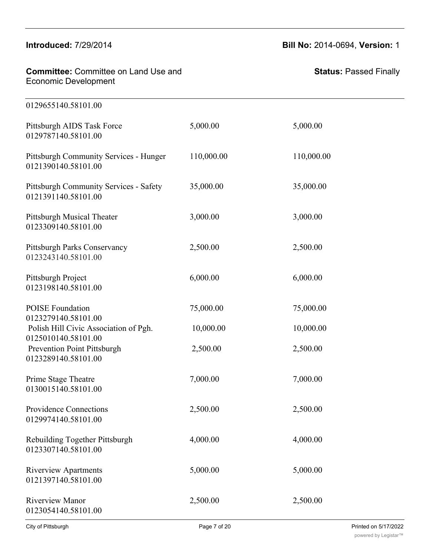#### **Introduced:** 7/29/2014 **Bill No:** 2014-0694, **Version:** 1

| <b>Committee:</b> Committee on Land Use and<br>Economic Development | Sta |
|---------------------------------------------------------------------|-----|
| 0129655140.58101.00                                                 |     |

Pittsburgh AIDS Task Force 5,000.00 5,000.00 0129787140.58101.00

Pittsburgh Community Services - Hunger 110,000.00 110,000.00 0121390140.58101.00 Pittsburgh Community Services - Safety 35,000.00 35,000.00 0121391140.58101.00

Pittsburgh Musical Theater  $3,000.00$  3,000.00 0123309140.58101.00

Pittsburgh Parks Conservancy 2,500.00 2,500.00 2,500.00 0123243140.58101.00

Pittsburgh Project 6,000.00 6,000.00 6,000.00 0123198140.58101.00

POISE Foundation 75,000.00 75,000.00 75,000.00 0123279140.58101.00 Polish Hill Civic Association of Pgh. 10,000.00 10,000.00 0125010140.58101.00

Prevention Point Pittsburgh 2,500.00 2,500.00 2,500.00

Prime Stage Theatre 7,000.00 7,000.00 7,000.00 0130015140.58101.00

0123289140.58101.00

Providence Connections 2,500.00 2,500.00 0129974140.58101.00

Rebuilding Together Pittsburgh 4,000.00 4,000.00 0123307140.58101.00

Riverview Apartments 5,000.00 5,000.00 5,000.00 0121397140.58101.00

Riverview Manor 2,500.00 2,500.00 2,500.00 0123054140.58101.00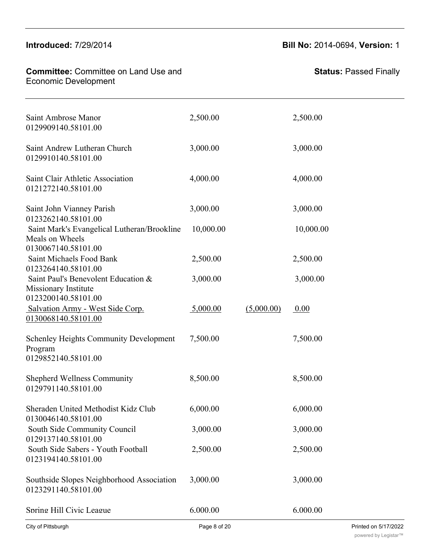#### **Committee: Committee on Land Use and** Economic Development <u>Roomen Boronopmen.</u>

 $R_{\rm eff}$  ,  $R_{\rm eff}$  ,  $R_{\rm eff}$  ,  $R_{\rm eff}$  ,  $R_{\rm eff}$  ,  $R_{\rm eff}$  ,  $R_{\rm eff}$  ,  $R_{\rm eff}$  ,  $R_{\rm eff}$  ,  $R_{\rm eff}$  ,  $R_{\rm eff}$  ,  $R_{\rm eff}$  ,  $R_{\rm eff}$  ,  $R_{\rm eff}$  ,  $R_{\rm eff}$  ,  $R_{\rm eff}$  ,  $R_{\rm eff}$  ,  $R_{\rm eff}$  ,  $R_{\rm eff}$  ,  $R_{\rm eff}$  ,

# **Introduced:** 7/29/2014 **Bill No:** 2014-0694, **Version:** 1

| <b>Status: Passed Finally</b> |  |
|-------------------------------|--|
|-------------------------------|--|

| 2,500.00  |            | 2,500.00  |
|-----------|------------|-----------|
| 3,000.00  |            | 3,000.00  |
| 4,000.00  |            | 4,000.00  |
| 3,000.00  |            | 3,000.00  |
| 10,000.00 |            | 10,000.00 |
| 2,500.00  |            | 2,500.00  |
| 3,000.00  |            | 3,000.00  |
| 5,000.00  | (5,000.00) | 0.00      |
| 7,500.00  |            | 7,500.00  |
| 8,500.00  |            | 8,500.00  |
| 6,000.00  |            | 6,000.00  |
| 3,000.00  |            | 3,000.00  |
| 2,500.00  |            | 2,500.00  |
| 3,000.00  |            | 3,000.00  |
| 6.000.00  |            | 6.000.00  |
|           |            |           |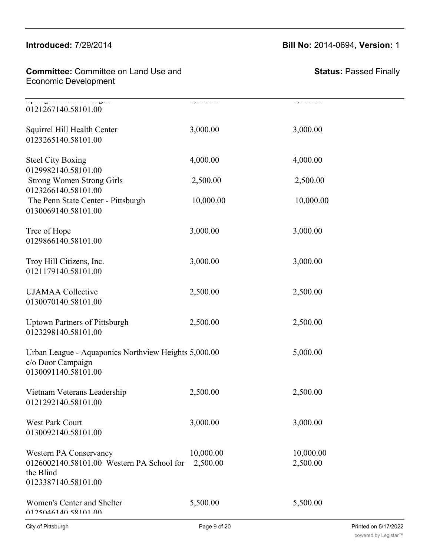#### $\mathbf{S}$   $\mathbf{S}$   $\mathbf{S}$   $\mathbf{S}$   $\mathbf{S}$   $\mathbf{S}$   $\mathbf{S}$   $\mathbf{S}$   $\mathbf{S}$   $\mathbf{S}$   $\mathbf{S}$   $\mathbf{S}$   $\mathbf{S}$   $\mathbf{S}$   $\mathbf{S}$   $\mathbf{S}$   $\mathbf{S}$   $\mathbf{S}$   $\mathbf{S}$   $\mathbf{S}$   $\mathbf{S}$   $\mathbf{S}$   $\mathbf{S}$   $\mathbf{S}$   $\mathbf{$  $n$ 11111000 $n$ ed:  $n \times 9120$

0129137140.58101.00

# **Introduced:** 7/29/2014 **Bill No:** 2014-0694, **Version:** 1

| <b>Committee:</b> Committee on Land Use and | St |
|---------------------------------------------|----|
| <b>Economic Development</b>                 |    |

| $-\frac{1}{1-\frac{1}{1-\frac{1}{1-\frac{1}{1-\frac{1}{1-\frac{1}{1-\frac{1}{1-\frac{1}{1-\frac{1}{1-\frac{1}{1-\frac{1}{1-\frac{1}{1-\frac{1}{1-\frac{1}{1-\frac{1}{1-\frac{1}{1-\frac{1}{1-\frac{1}{1-\frac{1}{1-\frac{1}{1-\frac{1}{1-\frac{1}{1-\frac{1}{1-\frac{1}{1-\frac{1}{1-\frac{1}{1-\frac{1}{1-\frac{1}{1-\frac{1}{1-\frac{1}{1-\frac{1}{1-\frac{1}{1-\frac{1}{1-\frac{1}{1-\frac{1}{1-\frac{1}{1-\frac{1$<br>0121267140.58101.00 | .                     | بالمناب بالولة        |
|-----------------------------------------------------------------------------------------------------------------------------------------------------------------------------------------------------------------------------------------------------------------------------------------------------------------------------------------------------------------------------------------------------------------------------------------------|-----------------------|-----------------------|
| Squirrel Hill Health Center<br>0123265140.58101.00                                                                                                                                                                                                                                                                                                                                                                                            | 3,000.00              | 3,000.00              |
| <b>Steel City Boxing</b><br>0129982140.58101.00                                                                                                                                                                                                                                                                                                                                                                                               | 4,000.00              | 4,000.00              |
| <b>Strong Women Strong Girls</b><br>0123266140.58101.00                                                                                                                                                                                                                                                                                                                                                                                       | 2,500.00              | 2,500.00              |
| The Penn State Center - Pittsburgh<br>0130069140.58101.00                                                                                                                                                                                                                                                                                                                                                                                     | 10,000.00             | 10,000.00             |
| Tree of Hope<br>0129866140.58101.00                                                                                                                                                                                                                                                                                                                                                                                                           | 3,000.00              | 3,000.00              |
| Troy Hill Citizens, Inc.<br>0121179140.58101.00                                                                                                                                                                                                                                                                                                                                                                                               | 3,000.00              | 3,000.00              |
| <b>UJAMAA</b> Collective<br>0130070140.58101.00                                                                                                                                                                                                                                                                                                                                                                                               | 2,500.00              | 2,500.00              |
| <b>Uptown Partners of Pittsburgh</b><br>0123298140.58101.00                                                                                                                                                                                                                                                                                                                                                                                   | 2,500.00              | 2,500.00              |
| Urban League - Aquaponics Northview Heights 5,000.00<br>c/o Door Campaign<br>0130091140.58101.00                                                                                                                                                                                                                                                                                                                                              |                       | 5,000.00              |
| Vietnam Veterans Leadership<br>0121292140.58101.00                                                                                                                                                                                                                                                                                                                                                                                            | 2,500.00              | 2,500.00              |
| West Park Court<br>0130092140.58101.00                                                                                                                                                                                                                                                                                                                                                                                                        | 3,000.00              | 3,000.00              |
| Western PA Conservancy<br>0126002140.58101.00 Western PA School for<br>the Blind<br>0123387140.58101.00                                                                                                                                                                                                                                                                                                                                       | 10,000.00<br>2,500.00 | 10,000.00<br>2,500.00 |
| Women's Center and Shelter<br>0125046140.58101.00                                                                                                                                                                                                                                                                                                                                                                                             | 5,500.00              | 5,500.00              |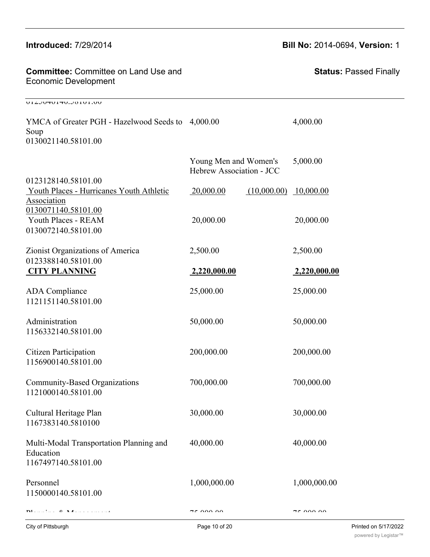| <b>Committee: Committee on Land Use and</b><br><b>Economic Development</b>       |                                                   | <b>Status: Passed Finally</b> |
|----------------------------------------------------------------------------------|---------------------------------------------------|-------------------------------|
| ULLULOU.UHUHULJULUU                                                              |                                                   |                               |
| YMCA of Greater PGH - Hazelwood Seeds to 4,000.00<br>Soup<br>0130021140.58101.00 |                                                   | 4,000.00                      |
|                                                                                  | Young Men and Women's<br>Hebrew Association - JCC | 5,000.00                      |
| 0123128140.58101.00<br>Youth Places - Hurricanes Youth Athletic<br>Association   | 20,000.00                                         | $(10,000.00)$ 10,000.00       |
| 0130071140.58101.00<br>Youth Places - REAM<br>0130072140.58101.00                | 20,000.00                                         | 20,000.00                     |
| Zionist Organizations of America                                                 | 2,500.00                                          | 2,500.00                      |
| 0123388140.58101.00<br><b>CITY PLANNING</b>                                      | 2,220,000.00                                      | 2,220,000.00                  |
| <b>ADA</b> Compliance<br>1121151140.58101.00                                     | 25,000.00                                         | 25,000.00                     |
| Administration<br>1156332140.58101.00                                            | 50,000.00                                         | 50,000.00                     |
| <b>Citizen Participation</b><br>1156900140.58101.00                              | 200,000.00                                        | 200,000.00                    |
| Community-Based Organizations<br>1121000140.58101.00                             | 700,000.00                                        | 700,000.00                    |
| Cultural Heritage Plan<br>1167383140.5810100                                     | 30,000.00                                         | 30,000.00                     |
| Multi-Modal Transportation Planning and<br>Education<br>1167497140.58101.00      | 40,000.00                                         | 40,000.00                     |
| Personnel<br>1150000140.58101.00                                                 | 1,000,000.00                                      | 1,000,000.00                  |
| 0 N A<br>TV1                                                                     | 75.00000                                          | 75.00000                      |

#### **Introduced: 7/29/2014**  $0.12600011126000111$

# Committee: Committee on Land Use and

**Introduced:** 7/29/2014 **Bill No:** 2014-0694, **Version:** 1 2,500.00 2,500.00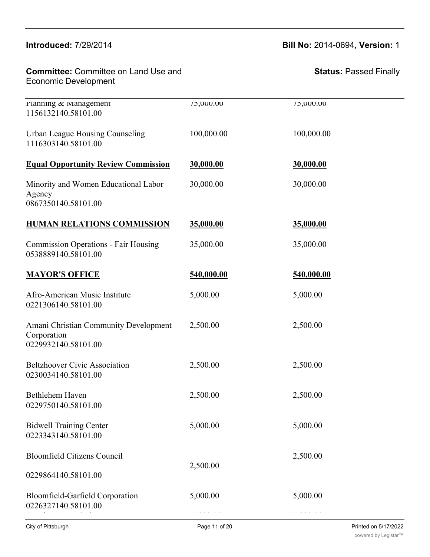# **Introduced:** 7/29/2014 **Bill No:** 2014-0694, **Version:** 1

| <b>Committee: Committee on Land Use and</b><br><b>Economic Development</b>  |            | <b>Status: Passed Finally</b> |
|-----------------------------------------------------------------------------|------------|-------------------------------|
| Planning & Management<br>1156132140.58101.00                                | 75,000.00  | 75,000.00                     |
| Urban League Housing Counseling<br>1116303140.58101.00                      | 100,000.00 | 100,000.00                    |
| <b>Equal Opportunity Review Commission</b>                                  | 30,000.00  | 30,000.00                     |
| Minority and Women Educational Labor<br>Agency<br>0867350140.58101.00       | 30,000.00  | 30,000.00                     |
| <b>HUMAN RELATIONS COMMISSION</b>                                           | 35,000.00  | 35,000.00                     |
| <b>Commission Operations - Fair Housing</b><br>0538889140.58101.00          | 35,000.00  | 35,000.00                     |
| <b>MAYOR'S OFFICE</b>                                                       | 540,000.00 | 540,000.00                    |
| Afro-American Music Institute<br>0221306140.58101.00                        | 5,000.00   | 5,000.00                      |
| Amani Christian Community Development<br>Corporation<br>0229932140.58101.00 | 2,500.00   | 2,500.00                      |
| <b>Beltzhoover Civic Association</b><br>0230034140.58101.00                 | 2,500.00   | 2,500.00                      |
| Bethlehem Haven<br>0229750140.58101.00                                      | 2,500.00   | 2,500.00                      |
| <b>Bidwell Training Center</b><br>0223343140.58101.00                       | 5,000.00   | 5,000.00                      |
| <b>Bloomfield Citizens Council</b>                                          |            | 2,500.00                      |
| 0229864140.58101.00                                                         | 2,500.00   |                               |
| Bloomfield-Garfield Corporation<br>0226327140.58101.00                      | 5,000.00   | 5,000.00                      |

Brashear Association 5,000.00 5,000.00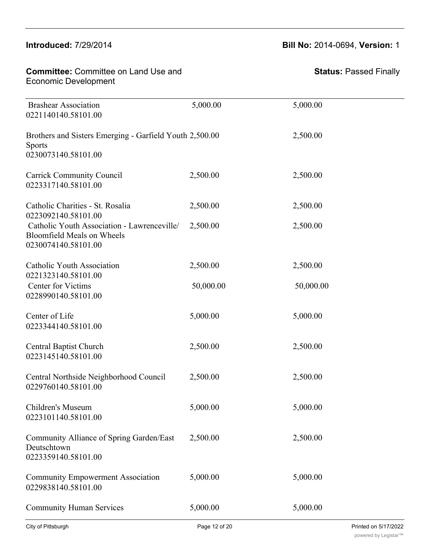0223343140.58101.00

#### **Introduced:** 7/29/2014 **Bill No:** 2014-0694, **Version:** 1 2,500.00

| <b>Committee:</b> Committee on Land Use and | St |
|---------------------------------------------|----|
| Economic Development                        |    |

| <b>Brashear Association</b><br>0221140140.58101.00                                                      | 5,000.00  | 5,000.00  |
|---------------------------------------------------------------------------------------------------------|-----------|-----------|
| Brothers and Sisters Emerging - Garfield Youth 2,500.00<br><b>Sports</b><br>0230073140.58101.00         |           | 2,500.00  |
| <b>Carrick Community Council</b><br>0223317140.58101.00                                                 | 2,500.00  | 2,500.00  |
| Catholic Charities - St. Rosalia<br>0223092140.58101.00                                                 | 2,500.00  | 2,500.00  |
| Catholic Youth Association - Lawrenceville/<br><b>Bloomfield Meals on Wheels</b><br>0230074140.58101.00 | 2,500.00  | 2,500.00  |
| Catholic Youth Association                                                                              | 2,500.00  | 2,500.00  |
| 0221323140.58101.00<br>Center for Victims<br>0228990140.58101.00                                        | 50,000.00 | 50,000.00 |
| Center of Life<br>0223344140.58101.00                                                                   | 5,000.00  | 5,000.00  |
| <b>Central Baptist Church</b><br>0223145140.58101.00                                                    | 2,500.00  | 2,500.00  |
| Central Northside Neighborhood Council<br>0229760140.58101.00                                           | 2,500.00  | 2,500.00  |
| Children's Museum<br>0223101140.58101.00                                                                | 5,000.00  | 5,000.00  |
| Community Alliance of Spring Garden/East<br>Deutschtown<br>0223359140.58101.00                          | 2,500.00  | 2,500.00  |
| <b>Community Empowerment Association</b><br>0229838140.58101.00                                         | 5,000.00  | 5,000.00  |
| <b>Community Human Services</b>                                                                         | 5,000.00  | 5,000.00  |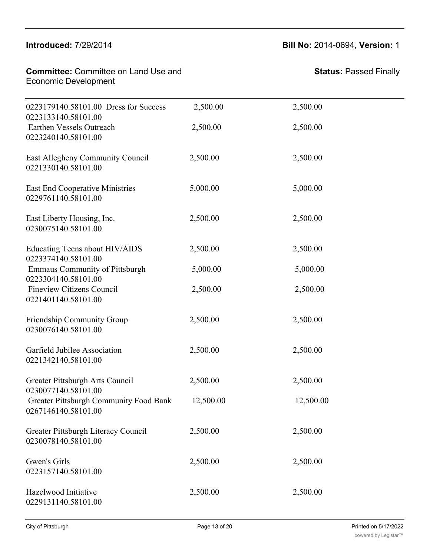# $\blacksquare$ Introduced:  $7/29/20$

# **Introduced:** 7/29/2014 **Bill No:** 2014-0694, **Version:** 1

2,500.00 2,500.00

| <b>Committee:</b> Committee on Land Use and | St |
|---------------------------------------------|----|
| Economic Development                        |    |

Community Alliance of Spring Garden/East

| 0223179140.58101.00 Dress for Success<br>0223133140.58101.00  | 2,500.00  | 2,500.00  |
|---------------------------------------------------------------|-----------|-----------|
| Earthen Vessels Outreach<br>0223240140.58101.00               | 2,500.00  | 2,500.00  |
| East Allegheny Community Council<br>0221330140.58101.00       | 2,500.00  | 2,500.00  |
| <b>East End Cooperative Ministries</b><br>0229761140.58101.00 | 5,000.00  | 5,000.00  |
| East Liberty Housing, Inc.<br>0230075140.58101.00             | 2,500.00  | 2,500.00  |
| Educating Teens about HIV/AIDS<br>0223374140.58101.00         | 2,500.00  | 2,500.00  |
| <b>Emmaus Community of Pittsburgh</b><br>0223304140.58101.00  | 5,000.00  | 5,000.00  |
| <b>Fineview Citizens Council</b><br>0221401140.58101.00       | 2,500.00  | 2,500.00  |
| Friendship Community Group<br>0230076140.58101.00             | 2,500.00  | 2,500.00  |
| Garfield Jubilee Association<br>0221342140.58101.00           | 2,500.00  | 2,500.00  |
| Greater Pittsburgh Arts Council<br>0230077140.58101.00        | 2,500.00  | 2,500.00  |
| Greater Pittsburgh Community Food Bank<br>0267146140.58101.00 | 12,500.00 | 12,500.00 |
| Greater Pittsburgh Literacy Council<br>0230078140.58101.00    | 2,500.00  | 2,500.00  |
| Gwen's Girls<br>0223157140.58101.00                           | 2,500.00  | 2,500.00  |
| Hazelwood Initiative<br>0229131140.58101.00                   | 2,500.00  | 2,500.00  |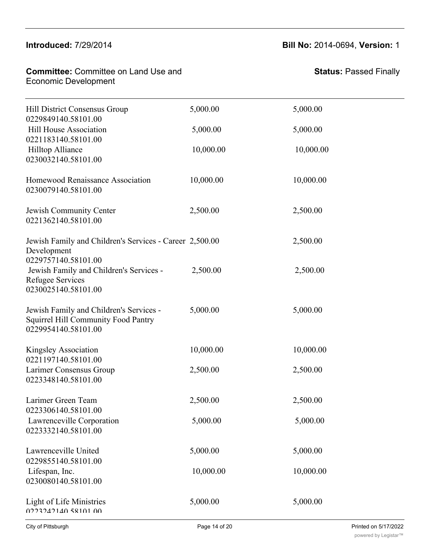0230078140.58101.00

#### **Committee:** Committee on Land Use and  $\blacksquare$ Economic Development 0229131140.58101.00

#### **Introduced:** 7/29/2014 **Bill No:** 2014-0694, **Version:** 1

| Hill District Consensus Group<br>0229849140.58101.00                                                         | 5,000.00  | 5,000.00  |
|--------------------------------------------------------------------------------------------------------------|-----------|-----------|
| Hill House Association<br>0221183140.58101.00                                                                | 5,000.00  | 5,000.00  |
| Hilltop Alliance<br>0230032140.58101.00                                                                      | 10,000.00 | 10,000.00 |
| Homewood Renaissance Association<br>0230079140.58101.00                                                      | 10,000.00 | 10,000.00 |
| Jewish Community Center<br>0221362140.58101.00                                                               | 2,500.00  | 2,500.00  |
| Jewish Family and Children's Services - Career 2,500.00<br>Development<br>0229757140.58101.00                |           | 2,500.00  |
| Jewish Family and Children's Services -<br>Refugee Services<br>0230025140.58101.00                           | 2,500.00  | 2,500.00  |
| Jewish Family and Children's Services -<br><b>Squirrel Hill Community Food Pantry</b><br>0229954140.58101.00 | 5,000.00  | 5,000.00  |
| Kingsley Association<br>0221197140.58101.00                                                                  | 10,000.00 | 10,000.00 |
| Larimer Consensus Group<br>0223348140.58101.00                                                               | 2,500.00  | 2,500.00  |
| Larimer Green Team<br>0223306140.58101.00                                                                    | 2,500.00  | 2,500.00  |
| Lawrenceville Corporation<br>0223332140.58101.00                                                             | 5,000.00  | 5,000.00  |
| Lawrenceville United<br>0229855140.58101.00                                                                  | 5,000.00  | 5,000.00  |
| Lifespan, Inc.<br>0230080140.58101.00                                                                        | 10,000.00 | 10,000.00 |
| Light of Life Ministries<br>0223242140 58101 00                                                              | 5,000.00  | 5,000.00  |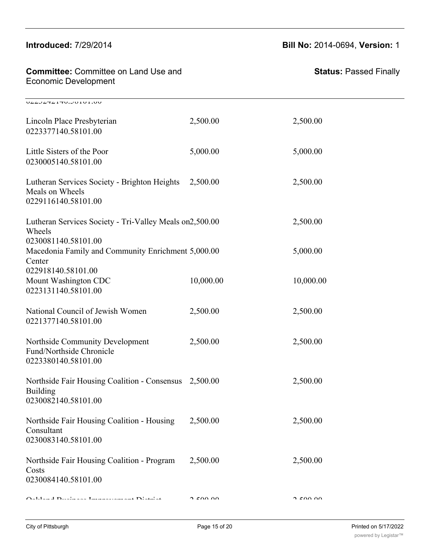#### $\frac{1}{2}$  $\frac{1}{2}$

#### **Introduced:** 7/29/2014 **Bill No:** 2014-0694, **Version:** 1

| <b>Committee: Committee on Land Use and</b><br><b>Economic Development</b>                      |           | <b>Status: Passed Finally</b> |  |
|-------------------------------------------------------------------------------------------------|-----------|-------------------------------|--|
| VLLJLTLITV.JUIVI.VV                                                                             |           |                               |  |
| Lincoln Place Presbyterian<br>0223377140.58101.00                                               | 2,500.00  | 2,500.00                      |  |
| Little Sisters of the Poor<br>0230005140.58101.00                                               | 5,000.00  | 5,000.00                      |  |
| Lutheran Services Society - Brighton Heights<br>Meals on Wheels<br>0229116140.58101.00          | 2,500.00  | 2,500.00                      |  |
| Lutheran Services Society - Tri-Valley Meals on2,500.00<br>Wheels                               |           | 2,500.00                      |  |
| 0230081140.58101.00<br>Macedonia Family and Community Enrichment 5,000.00<br>Center             |           | 5,000.00                      |  |
| 022918140.58101.00<br>Mount Washington CDC<br>0223131140.58101.00                               | 10,000.00 | 10,000.00                     |  |
| National Council of Jewish Women<br>0221377140.58101.00                                         | 2,500.00  | 2,500.00                      |  |
| Northside Community Development<br>Fund/Northside Chronicle<br>0223380140.58101.00              | 2,500.00  | 2,500.00                      |  |
| Northside Fair Housing Coalition - Consensus 2,500.00<br><b>Building</b><br>0230082140.58101.00 |           | 2,500.00                      |  |
| Northside Fair Housing Coalition - Housing<br>Consultant<br>0230083140.58101.00                 | 2,500.00  | 2,500.00                      |  |
| Northside Fair Housing Coalition - Program<br>Costs<br>0230084140.58101.00                      | 2,500.00  | 2,500.00                      |  |
| Oal-land Disalmans Linningssam and Distribut                                                    | n cuu vu  | $\Omega$ can an               |  |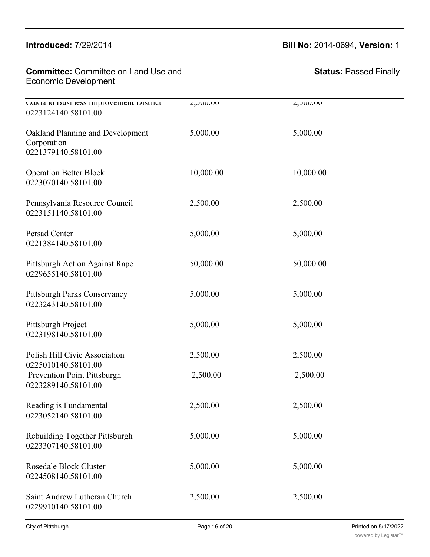# **Introduced:** 7/29/2014 **Bill No:** 2014-0694, **Version:** 1

| <b>Committee: Committee on Land Use and</b> |  |
|---------------------------------------------|--|
| <b>Economic Development</b>                 |  |

| Uakland Business improvement District<br>0223124140.58101.00              | 2,500.00  | 2,500.00  |
|---------------------------------------------------------------------------|-----------|-----------|
| Oakland Planning and Development<br>Corporation<br>0221379140.58101.00    | 5,000.00  | 5,000.00  |
| <b>Operation Better Block</b><br>0223070140.58101.00                      | 10,000.00 | 10,000.00 |
| Pennsylvania Resource Council<br>0223151140.58101.00                      | 2,500.00  | 2,500.00  |
| Persad Center<br>0221384140.58101.00                                      | 5,000.00  | 5,000.00  |
| Pittsburgh Action Against Rape<br>0229655140.58101.00                     | 50,000.00 | 50,000.00 |
| Pittsburgh Parks Conservancy<br>0223243140.58101.00                       | 5,000.00  | 5,000.00  |
| Pittsburgh Project<br>0223198140.58101.00                                 | 5,000.00  | 5,000.00  |
| Polish Hill Civic Association                                             | 2,500.00  | 2,500.00  |
| 0225010140.58101.00<br>Prevention Point Pittsburgh<br>0223289140.58101.00 | 2,500.00  | 2,500.00  |
| Reading is Fundamental<br>0223052140.58101.00                             | 2,500.00  | 2,500.00  |
| Rebuilding Together Pittsburgh<br>0223307140.58101.00                     | 5,000.00  | 5,000.00  |
| <b>Rosedale Block Cluster</b><br>0224508140.58101.00                      | 5,000.00  | 5,000.00  |
| Saint Andrew Lutheran Church<br>0229910140.58101.00                       | 2,500.00  | 2,500.00  |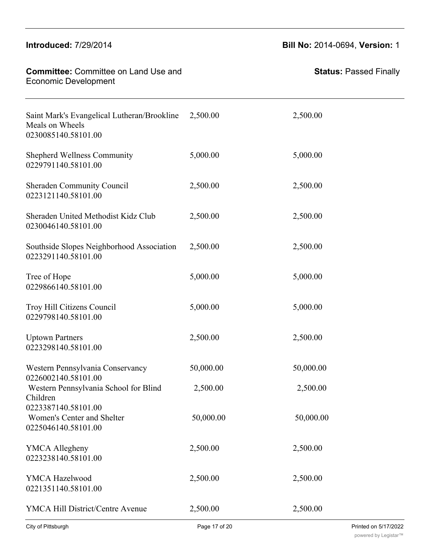# **Committee:** Committee on Land Use and Economic Development **Status:** Passed Finally  $\overline{a}$   $\overline{a}$   $\overline{a}$ 0229910140.58101.00 Saint Mark's Evangelical Lutheran/Brookline Meals on Wheels 2,500.00 2,500.00 0230085140.58101.00 Shepherd Wellness Community  $5,000.00$   $5,000.00$ 0229791140.58101.00 Sheraden Community Council 2,500.00 2,500.00 2,500.00 0223121140.58101.00 Sheraden United Methodist Kidz Club 2,500.00 2,500.00 0230046140.58101.00 Southside Slopes Neighborhood Association 2,500.00 2,500.00 0223291140.58101.00 Tree of Hope 5,000.00 5,000.00 5,000.00 0229866140.58101.00 Troy Hill Citizens Council 5,000.00 5,000.00 0229798140.58101.00 Uptown Partners 2,500.00 2,500.00 2,500.00 0223298140.58101.00 Western Pennsylvania Conservancy 50,000.00 50,000.00 0226002140.58101.00 Western Pennsylvania School for Blind Children 2,500.00 2,500.00 0223387140.58101.00 Women's Center and Shelter 50,000.00 50,000.00 0225046140.58101.00 YMCA Allegheny 2,500.00 2,500.00 2,500.00 0223238140.58101.00 YMCA Hazelwood 2,500.00 2,500.00 0221351140.58101.00 YMCA Hill District/Centre Avenue 2,500.00 2,500.00 0229806140.58101.00

**Introduced:** 7/29/2014 **Bill No:** 2014-0694, **Version:** 1

Rebuilding Together Pittsburgh 5,000.00 5,000.00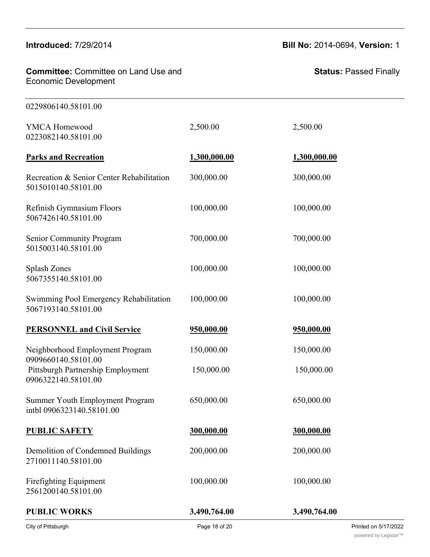**Committee:** Committee on Land Use and **Committee:** Committee on Land Use and **Committee:** Committee<br>Economic Development

 $\mathcal{N}(\mathcal{M})$  is a Hill District  $\mathcal{N}(\mathcal{M})$  and  $\mathcal{N}(\mathcal{M})$  and  $\mathcal{N}(\mathcal{M})$  and  $\mathcal{N}(\mathcal{M})$ 

**Introduced:** 7/29/2014 **Bill No:** 2014-0694, **Version:** 1

| 0229806140.58101.00                                              |              |              |
|------------------------------------------------------------------|--------------|--------------|
| <b>YMCA Homewood</b><br>0223082140.58101.00                      | 2,500.00     | 2,500.00     |
| <b>Parks and Recreation</b>                                      | 1,300,000.00 | 1,300,000.00 |
| Recreation & Senior Center Rehabilitation<br>5015010140.58101.00 | 300,000.00   | 300,000.00   |
| Refinish Gymnasium Floors<br>5067426140.58101.00                 | 100,000.00   | 100,000.00   |
| <b>Senior Community Program</b><br>5015003140.58101.00           | 700,000.00   | 700,000.00   |
| Splash Zones<br>5067355140.58101.00                              | 100,000.00   | 100,000.00   |
| Swimming Pool Emergency Rehabilitation<br>5067193140.58101.00    | 100,000.00   | 100,000.00   |
| <b>PERSONNEL and Civil Service</b>                               | 950,000.00   | 950,000.00   |
| Neighborhood Employment Program<br>0909660140.58101.00           | 150,000.00   | 150,000.00   |
| Pittsburgh Partnership Employment<br>0906322140.58101.00         | 150,000.00   | 150,000.00   |
| Summer Youth Employment Program<br>intbl 0906323140.58101.00     | 650,000.00   | 650,000.00   |
| <b>PUBLIC SAFETY</b>                                             | 300,000.00   | 300,000.00   |
| Demolition of Condemned Buildings<br>2710011140.58101.00         | 200,000.00   | 200,000.00   |
| Firefighting Equipment<br>2561200140.58101.00                    | 100,000.00   | 100,000.00   |
| <b>PUBLIC WORKS</b>                                              | 3,490,764.00 | 3,490,764.00 |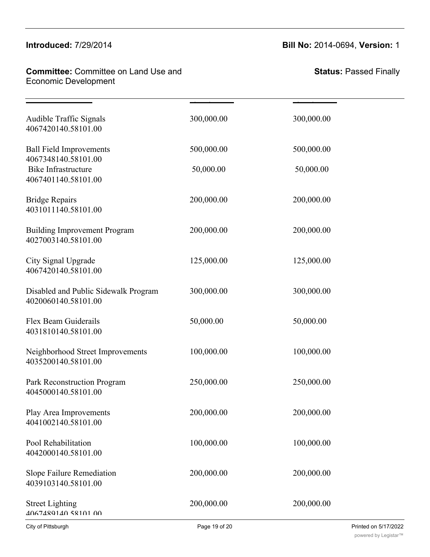#### Demolition of Condemned Buildings 200,000.00 200,000.00 **Introduced:** //29/20

# **Committee:** Committee on Land Use and **Firefighting Equipment 200,000 100,000 100,000 100,000 100,000 100,000 100** Economic Development

**Introduced:** 7/29/2014 **Bill No:** 2014-0694, **Version:** 1

| Audible Traffic Signals<br>4067420140.58101.00                           | 300,000.00 | 300,000.00 |  |
|--------------------------------------------------------------------------|------------|------------|--|
| <b>Ball Field Improvements</b>                                           | 500,000.00 | 500,000.00 |  |
| 4067348140.58101.00<br><b>Bike Infrastructure</b><br>4067401140.58101.00 | 50,000.00  | 50,000.00  |  |
| <b>Bridge Repairs</b><br>4031011140.58101.00                             | 200,000.00 | 200,000.00 |  |
| <b>Building Improvement Program</b><br>4027003140.58101.00               | 200,000.00 | 200,000.00 |  |
| City Signal Upgrade<br>4067420140.58101.00                               | 125,000.00 | 125,000.00 |  |
| Disabled and Public Sidewalk Program<br>4020060140.58101.00              | 300,000.00 | 300,000.00 |  |
| Flex Beam Guiderails<br>4031810140.58101.00                              | 50,000.00  | 50,000.00  |  |
| Neighborhood Street Improvements<br>4035200140.58101.00                  | 100,000.00 | 100,000.00 |  |
| Park Reconstruction Program<br>4045000140.58101.00                       | 250,000.00 | 250,000.00 |  |
| Play Area Improvements<br>4041002140.58101.00                            | 200,000.00 | 200,000.00 |  |
| Pool Rehabilitation<br>4042000140.58101.00                               | 100,000.00 | 100,000.00 |  |
| Slope Failure Remediation<br>4039103140.58101.00                         | 200,000.00 | 200,000.00 |  |
| <b>Street Lighting</b><br>4067489140 58101 00                            | 200,000.00 | 200,000.00 |  |